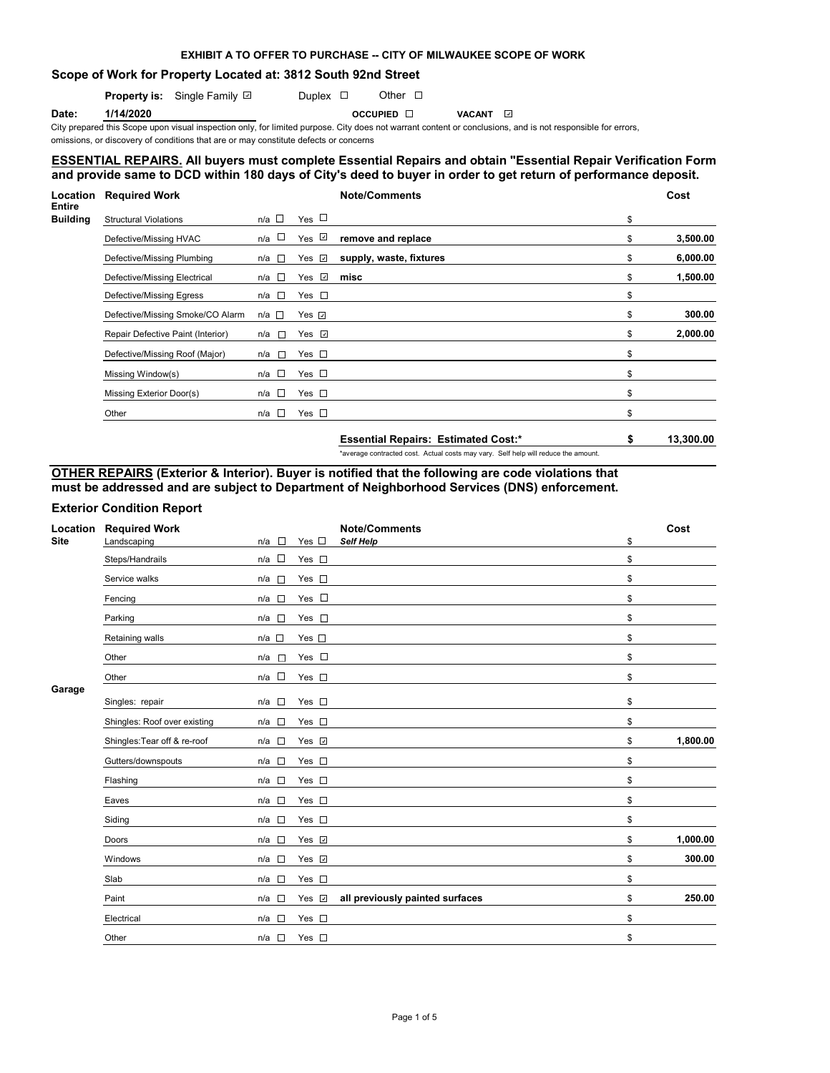### **EXHIBIT A TO OFFER TO PURCHASE -- CITY OF MILWAUKEE SCOPE OF WORK**

### **Scope of Work for Property Located at: 3812 South 92nd Street**

**Property is:** Single Family **D** Duplex  $\Box$  Other  $\Box$ 

**Date: 1/14/2020 OCCUPIED VACANT**

City prepared this Scope upon visual inspection only, for limited purpose. City does not warrant content or conclusions, and is not responsible for errors,

omissions, or discovery of conditions that are or may constitute defects or concerns

## **ESSENTIAL REPAIRS. All buyers must complete Essential Repairs and obtain "Essential Repair Verification Form" and provide same to DCD within 180 days of City's deed to buyer in order to get return of performance deposit.**

| <b>Location</b>                  | <b>Required Work</b>              |                 |                 | <b>Note/Comments</b>                       | Cost |           |
|----------------------------------|-----------------------------------|-----------------|-----------------|--------------------------------------------|------|-----------|
| <b>Entire</b><br><b>Building</b> | <b>Structural Violations</b>      | $n/a$ $\Box$    | Yes $\Box$      |                                            | \$   |           |
|                                  | Defective/Missing HVAC            | n/a $\square$   | Yes $\sqrt{ }$  | remove and replace                         | \$   | 3,500.00  |
|                                  | Defective/Missing Plumbing        | n/a $\square$   | Yes <i>⊡</i>    | supply, waste, fixtures                    | \$   | 6,000.00  |
|                                  | Defective/Missing Electrical      | n/a □           | $\omega$<br>Yes | misc                                       | \$   | 1,500.00  |
|                                  | Defective/Missing Egress          | $n/a$ $\square$ | Yes $\square$   |                                            | \$   |           |
|                                  | Defective/Missing Smoke/CO Alarm  | n/a □           | Yes $\sqrt{ }$  |                                            | \$   | 300.00    |
|                                  | Repair Defective Paint (Interior) | n/a □           | Yes <b>☑</b>    |                                            | \$   | 2,000.00  |
|                                  | Defective/Missing Roof (Major)    | $\sim$<br>n/a   | Yes $\square$   |                                            | \$   |           |
|                                  | Missing Window(s)                 | $n/a$ $\square$ | Yes $\square$   |                                            | \$   |           |
|                                  | Missing Exterior Door(s)          | n/a $\square$   | Yes $\square$   |                                            | \$   |           |
|                                  | Other                             | $n/a$ $\square$ | Yes $\square$   |                                            | \$   |           |
|                                  |                                   |                 |                 | <b>Essential Repairs: Estimated Cost:*</b> | \$   | 13,300.00 |

\*average contracted cost. Actual costs may vary. Self help will reduce the amount.

# **OTHER REPAIRS (Exterior & Interior). Buyer is notified that the following are code violations that must be addressed and are subject to Department of Neighborhood Services (DNS) enforcement.**

### **Exterior Condition Report**

| Location<br><b>Site</b> | <b>Required Work</b><br>Landscaping | $\overline{\phantom{a}}$<br>n/a | Yes $\square$ | <b>Note/Comments</b><br><b>Self Help</b> | \$<br>Cost     |
|-------------------------|-------------------------------------|---------------------------------|---------------|------------------------------------------|----------------|
|                         |                                     | $\Box$                          |               |                                          |                |
|                         | Steps/Handrails                     | n/a                             | Yes $\square$ |                                          | \$             |
|                         | Service walks                       | n/a<br>$\Box$                   | Yes $\square$ |                                          | \$             |
|                         | Fencing                             | $n/a$ $\square$                 | Yes $\square$ |                                          | \$             |
|                         | Parking                             | $n/a$ $\square$                 | Yes $\square$ |                                          | \$             |
|                         | Retaining walls                     | $n/a$ $\square$                 | Yes $\square$ |                                          | \$             |
|                         | Other                               | n/a<br>$\sim$                   | Yes $\square$ |                                          | \$             |
|                         | Other                               | $n/a$ $\square$                 | Yes $\square$ |                                          | \$             |
| Garage                  |                                     |                                 |               |                                          |                |
|                         | Singles: repair                     | $\sim$<br>n/a                   | Yes $\square$ |                                          | \$             |
|                         | Shingles: Roof over existing        | n/a $\square$                   | Yes $\square$ |                                          | \$             |
|                         | Shingles: Tear off & re-roof        | n/a                             | Yes v         |                                          | \$<br>1,800.00 |
|                         | Gutters/downspouts                  | $n/a$ $\square$                 | Yes $\square$ |                                          | \$             |
|                         | Flashing                            | $n/a$ $\Box$                    | Yes $\square$ |                                          | \$             |
|                         | Eaves                               | n/a<br>$\sim$                   | Yes $\square$ |                                          | \$             |
|                         | Siding                              | n/a<br>$\mathcal{L}$            | Yes $\square$ |                                          | \$             |
|                         | Doors                               | $n/a$ $\square$                 | Yes ⊽         |                                          | \$<br>1,000.00 |
|                         | Windows                             | $n/a$ $\square$                 | Yes v         |                                          | \$<br>300.00   |
|                         | Slab                                | n/a                             | Yes $\square$ |                                          | \$             |
|                         | Paint                               | $n/a$ $\square$                 | Yes <b>☑</b>  | all previously painted surfaces          | \$<br>250.00   |
|                         | Electrical                          | $n/a$ $\Box$                    | Yes $\square$ |                                          | \$             |
|                         | Other                               | n/a □                           | Yes $\square$ |                                          | \$             |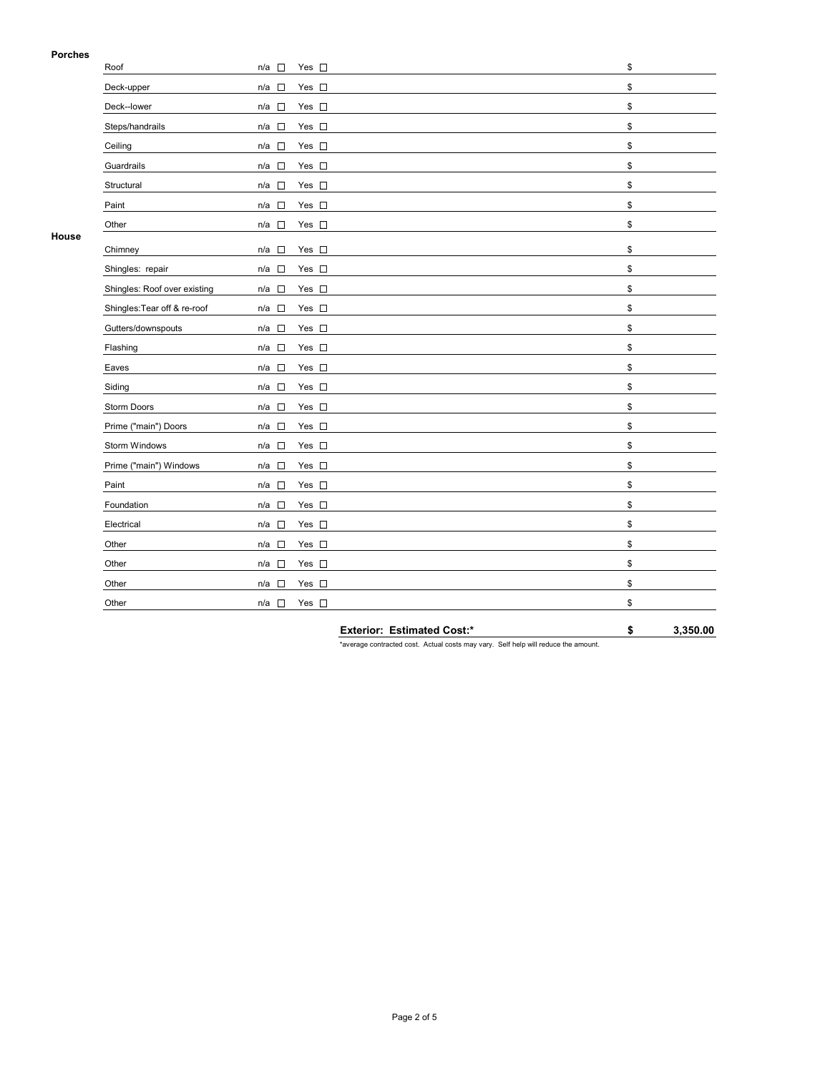#### **Porches**

| гинны | Roof                         | $n/a$ $\square$                 | Yes $\square$ | \$ |
|-------|------------------------------|---------------------------------|---------------|----|
|       | Deck-upper                   | $\Box$<br>n/a                   | Yes $\square$ | \$ |
|       | Deck--lower                  | $n/a$ $\square$                 | Yes $\square$ | \$ |
|       | Steps/handrails              | $n/a$ $\square$                 | Yes $\square$ | \$ |
|       | Ceiling                      | $n/a$ $\square$                 | Yes $\square$ | \$ |
|       | Guardrails                   | $n/a$ $\square$                 | Yes $\square$ | \$ |
|       | Structural                   | $\Box$<br>n/a                   | Yes $\square$ | \$ |
|       | Paint                        | $\Box$<br>n/a                   | Yes $\square$ | \$ |
|       | Other                        | $n/a$ $\square$                 | Yes $\square$ | \$ |
| House | Chimney                      | $\Box$<br>n/a                   | Yes $\square$ | \$ |
|       | Shingles: repair             | $n/a$ $\square$                 | Yes $\square$ | \$ |
|       | Shingles: Roof over existing | n/a                             | Yes $\square$ | \$ |
|       | Shingles: Tear off & re-roof | $n/a$ $\square$                 | Yes $\square$ | \$ |
|       | Gutters/downspouts           | $n/a$ $\square$                 | Yes $\square$ | \$ |
|       | Flashing                     | $n/a$ $\square$                 | Yes $\square$ | \$ |
|       | Eaves                        | $n/a$ $\square$                 | Yes $\square$ | \$ |
|       | Siding                       | $n/a$ $\square$                 | Yes $\square$ | \$ |
|       | Storm Doors                  | $n/a$ $\square$                 | Yes $\square$ | \$ |
|       | Prime ("main") Doors         | $n/a$ $\square$                 | Yes $\square$ | \$ |
|       | Storm Windows                | n/a<br>$\Box$                   | Yes $\square$ | \$ |
|       | Prime ("main") Windows       | $n/a$ $\square$                 | Yes $\square$ | \$ |
|       | Paint                        | $n/a$ $\square$                 | Yes $\square$ | \$ |
|       | Foundation                   | $n/a$ $\square$                 | Yes $\square$ | \$ |
|       | Electrical                   | $\overline{\phantom{a}}$<br>n/a | Yes $\square$ | \$ |
|       | Other                        | n/a                             | Yes $\square$ | \$ |
|       | Other                        | n/a<br>$\overline{\phantom{a}}$ | Yes $\square$ | \$ |
|       | Other                        | n/a<br>$\sim$                   | Yes $\square$ | \$ |
|       | Other                        | n/a<br>$\sim$                   | Yes $\square$ | \$ |
|       |                              |                                 |               |    |

**Exterior: Estimated Cost:\* \$ 3,350.00**

\*average contracted cost. Actual costs may vary. Self help will reduce the amount.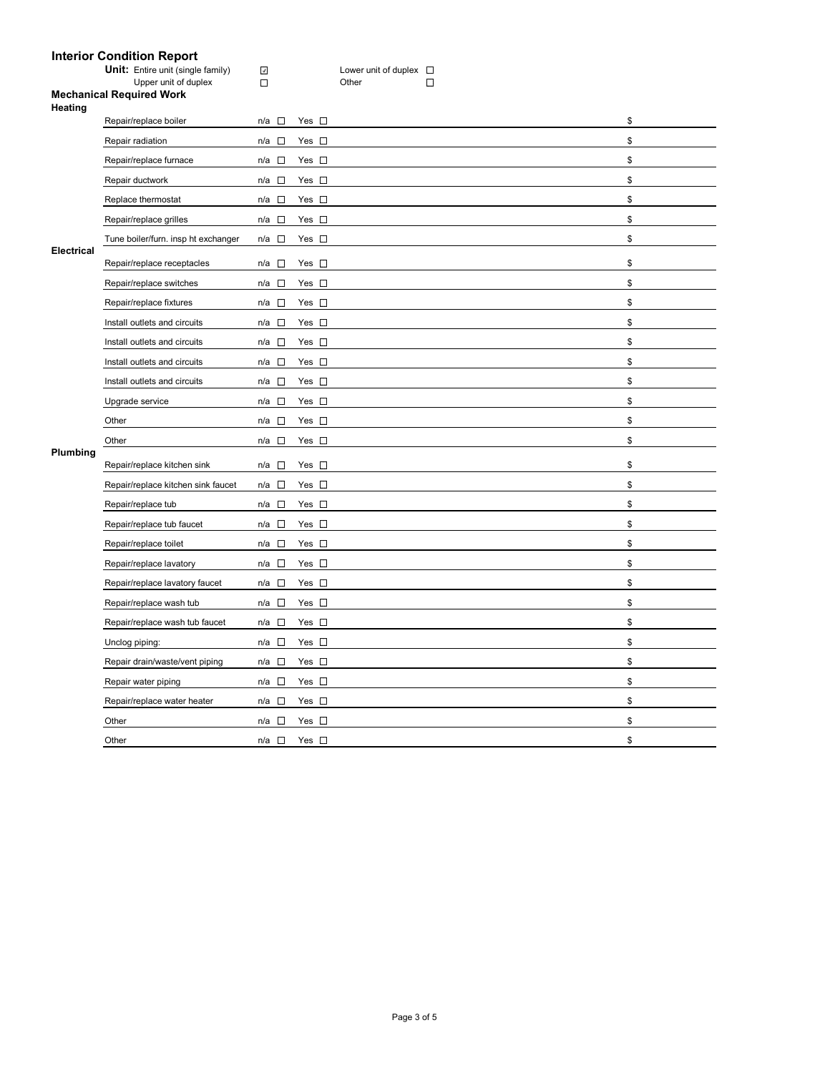# **Interior Condition Report**

| <b>Unit:</b> Entire unit (single family)            | $\omega$ | Lower unit of duplex $\square$ |  |
|-----------------------------------------------------|----------|--------------------------------|--|
| Upper unit of duplex                                |          | Other                          |  |
| <b>Mechanical Required Work</b>                     |          |                                |  |
| Heating                                             |          |                                |  |
| man and the second and a continuation of the second |          |                                |  |

|                               | Repair/replace boiler               | $\overline{a}$<br>n/a | Yes $\square$ | \$ |
|-------------------------------|-------------------------------------|-----------------------|---------------|----|
| <b>Electrical</b><br>Plumbing | Repair radiation                    | n/a<br>$\Box$         | Yes $\square$ | \$ |
|                               | Repair/replace furnace              | n/a $\square$         | Yes $\square$ | \$ |
|                               | Repair ductwork                     | $n/a$ $\square$       | Yes $\square$ | \$ |
|                               | Replace thermostat                  | n/a<br>$\sim$         | Yes $\square$ | \$ |
|                               | Repair/replace grilles              | n/a □                 | Yes $\square$ | \$ |
|                               | Tune boiler/furn. insp ht exchanger | n/a $\square$         | Yes $\square$ | \$ |
|                               | Repair/replace receptacles          | n/a □                 | Yes $\square$ | \$ |
|                               | Repair/replace switches             | $\sim$<br>n/a         | Yes $\square$ | \$ |
|                               | Repair/replace fixtures             | n/a $\square$         | Yes $\square$ | \$ |
|                               | Install outlets and circuits        | n/a $\square$         | Yes $\square$ | \$ |
|                               | Install outlets and circuits        | $\sim$<br>n/a         | Yes $\square$ | \$ |
|                               | Install outlets and circuits        | n/a $\square$         | Yes $\square$ | \$ |
|                               | Install outlets and circuits        | $n/a$ $\square$       | Yes $\square$ | \$ |
|                               | Upgrade service                     | □<br>n/a              | Yes $\square$ | \$ |
|                               | Other                               | n/a<br>$\sim$         | Yes $\square$ | \$ |
|                               | Other                               | n/a $\square$         | Yes $\square$ | \$ |
|                               | Repair/replace kitchen sink         | n/a<br>$\sim$         | Yes $\square$ | \$ |
|                               | Repair/replace kitchen sink faucet  | n/a $\square$         | Yes $\square$ | \$ |
|                               | Repair/replace tub                  | n/a $\square$         | Yes $\square$ | \$ |
|                               | Repair/replace tub faucet           | n/a<br>$\overline{a}$ | Yes $\square$ | \$ |
|                               | Repair/replace toilet               | n/a<br>$\sim$         | Yes $\square$ | \$ |
|                               | Repair/replace lavatory             | n/a □                 | Yes $\square$ | \$ |
|                               | Repair/replace lavatory faucet      | n/a<br>$\sim$         | Yes $\square$ | \$ |
|                               | Repair/replace wash tub             | $\sim$<br>n/a         | Yes $\square$ | \$ |
|                               | Repair/replace wash tub faucet      | $n/a$ $\square$       | Yes $\square$ | \$ |
|                               | Unclog piping:                      | n/a<br>$\mathcal{L}$  | Yes $\square$ | \$ |
|                               | Repair drain/waste/vent piping      | $n/a$ $\square$       | Yes $\square$ | \$ |
|                               | Repair water piping                 | n/a □                 | Yes $\square$ | \$ |
|                               | Repair/replace water heater         | n/a<br>$\sim$         | Yes $\square$ | \$ |
|                               | Other                               | n/a<br>$\sim$         | Yes $\square$ | \$ |
|                               | Other                               | $n/a$ $\square$       | Yes $\square$ | \$ |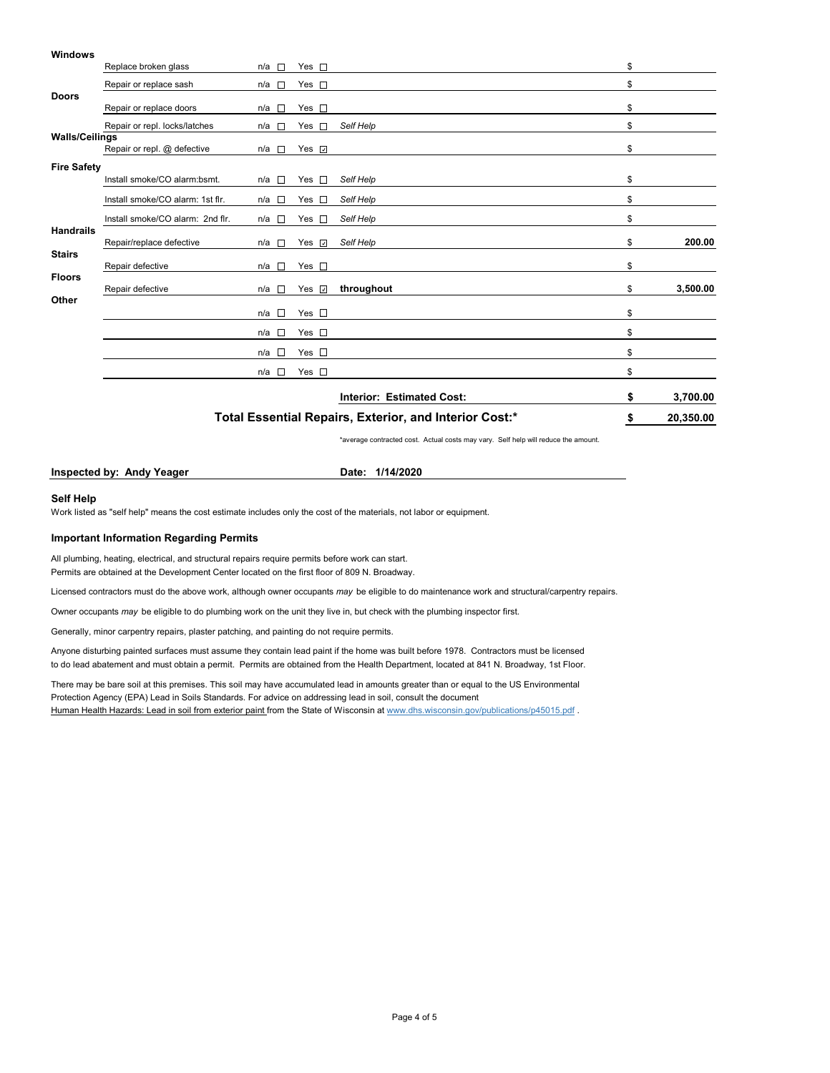#### **Windows**

|                       | \$<br>20,350.00                  |                                                                                                                              |                          |                           |                |
|-----------------------|----------------------------------|------------------------------------------------------------------------------------------------------------------------------|--------------------------|---------------------------|----------------|
|                       |                                  |                                                                                                                              |                          | Interior: Estimated Cost: | \$<br>3,700.00 |
|                       |                                  | $n/a$ $\square$                                                                                                              | Yes $\square$            |                           | \$             |
|                       |                                  | n/a □                                                                                                                        | Yes $\square$            |                           | \$             |
|                       |                                  | $n/a$ $\square$                                                                                                              | Yes $\square$            |                           | \$             |
|                       |                                  | $n/a$ $\square$                                                                                                              | $Yes$ $\Box$             |                           | \$             |
| Other                 | Repair defective                 | n/a l⊡                                                                                                                       | Yes $\sqrt{2}$           | throughout                | \$<br>3,500.00 |
| <b>Floors</b>         | Repair defective                 | n/a □                                                                                                                        | Yes $\square$            |                           | \$             |
| <b>Stairs</b>         | Repair/replace defective         | n/a □                                                                                                                        | Yes $\overline{v}$       | Self Help                 | \$<br>200.00   |
| <b>Handrails</b>      | Install smoke/CO alarm: 2nd flr. | n/a $\square$                                                                                                                | Yes $\square$            | Self Help                 | \$             |
|                       | Install smoke/CO alarm: 1st flr. | n/a □                                                                                                                        | Yes $\square$            | Self Help                 | \$             |
| <b>Fire Safety</b>    | Install smoke/CO alarm:bsmt.     | $n/a$ $\square$                                                                                                              | Yes $\square$            | Self Help                 | \$             |
|                       | Repair or repl. @ defective      | n/a<br><b>The Contract of the Contract of the Contract of the Contract of the Contract of the Contract of the Contract o</b> | Yes $\sqrt{ }$           |                           | \$             |
| <b>Walls/Ceilings</b> | Repair or repl. locks/latches    | n/a l⊟                                                                                                                       | Yes<br><b>The Second</b> | Self Help                 | \$             |
|                       | Repair or replace doors          | n/a □                                                                                                                        | Yes $\square$            |                           | \$             |
| <b>Doors</b>          | Repair or replace sash           | $n/a$ $\Box$                                                                                                                 | Yes $\square$            |                           | \$             |
|                       | Replace broken glass             | n/a □                                                                                                                        | Yes $\square$            |                           | \$             |
|                       |                                  |                                                                                                                              |                          |                           |                |

\*average contracted cost. Actual costs may vary. Self help will reduce the amount.

**Inspected by: Andy Yeager Date: 1/14/2020** 

#### **Self Help**

Work listed as "self help" means the cost estimate includes only the cost of the materials, not labor or equipment.

#### **Important Information Regarding Permits**

All plumbing, heating, electrical, and structural repairs require permits before work can start. Permits are obtained at the Development Center located on the first floor of 809 N. Broadway.

Licensed contractors must do the above work, although owner occupants *may* be eligible to do maintenance work and structural/carpentry repairs.

Owner occupants *may* be eligible to do plumbing work on the unit they live in, but check with the plumbing inspector first.

Generally, minor carpentry repairs, plaster patching, and painting do not require permits.

Anyone disturbing painted surfaces must assume they contain lead paint if the home was built before 1978. Contractors must be licensed to do lead abatement and must obtain a permit. Permits are obtained from the Health Department, located at 841 N. Broadway, 1st Floor.

There may be bare soil at this premises. This soil may have accumulated lead in amounts greater than or equal to the US Environmental Protection Agency (EPA) Lead in Soils Standards. For advice on addressing lead in soil, consult the document Human Health Hazards: Lead in soil from exterior paint from the State of Wisconsin at www.dhs.wisconsin.gov/publications/p45015.pdf .